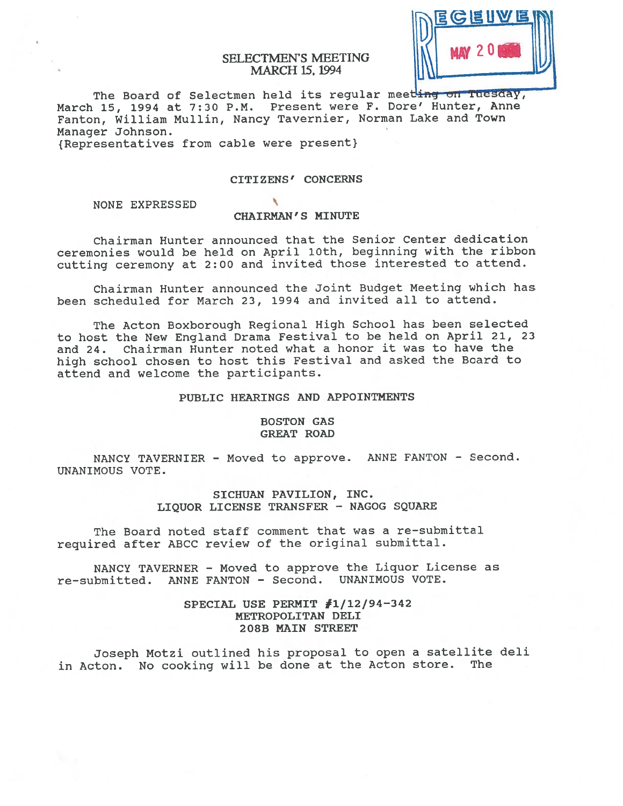# SELECTMEN'S MEETING MARCH 15, 1994



The Board of Selectmen held its regular meeting on Tuesday, March 15, 1994 at 7:30 P.M. Present were F. Dore' Hunter, Anne Fanton, William Mullin, Nancy Tavernier, Norman Lake and Town Manager Johnson. {Representatives from cable were present}

# CITIZENS' CONCERNS

NONE EXPRESSED

### CHAIRMAN' S MINUTE

Chairman Hunter announced that the Senior Center dedication ceremonies would be held on April 10th, beginning with the ribbon cutting ceremony at 2:00 and invited those interested to attend.

Chairman Hunter announced the Joint Budget Meeting which has been scheduled for March 23, 1994 and invited all to attend.

The Acton Boxborough Regional High School has been selected to host the New England Drama Festival to be held on April 21, <sup>23</sup> and 24. Chairman Hunter noted what <sup>a</sup> honor it was to have the high school chosen to host this Festival and asked the Board to attend and welcome the participants.

#### PUBLIC HEARINGS AND APPOINTMENTS

#### BOSTON GAS GREAT ROAD

NANCY TAVERNIER - Moved to approve. ANNE FANTON - Second. UNANIMOUS VOTE.

> SICHUAN PAVILION, INC. LIQUOR LICENSE TRANSFER - NAGOG SQUARE

The Board noted staff comment that was <sup>a</sup> re—submittal required after ABCC review of the original submittal.

NANCY TAVERNER - Moved to approve the Liquor License as re-submitted. ANNE FANTON - Second. UNANIMOUS VOTE.

> SPECIAL USE PERMIT #1/12/94—342 METROPOLITAN DELI 208B MAIN STREET

Joseph Motzi outlined his proposa<sup>l</sup> to open <sup>a</sup> satellite deli in Acton. No cooking will be done at the Acton store. The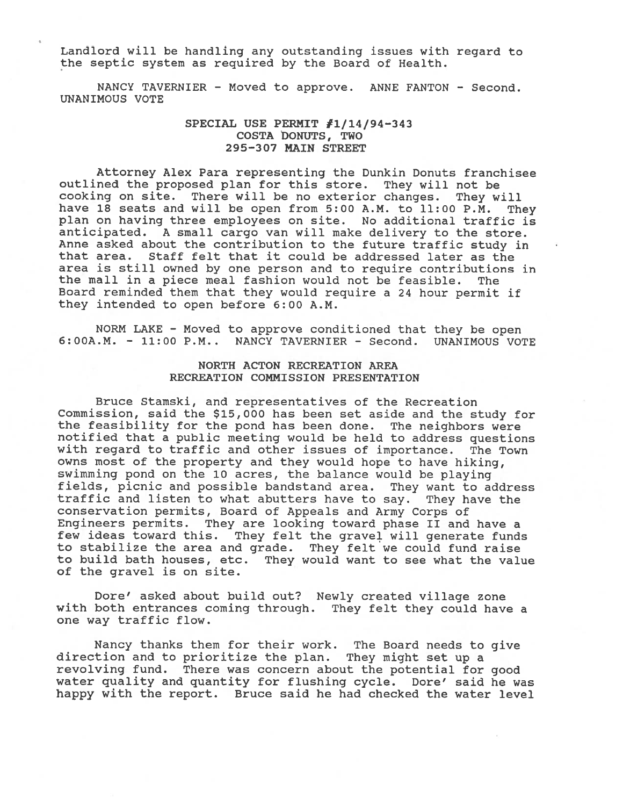Landlord will be handling any outstanding issues with regard to the septic system as required by the Board of Health.

NANCY TAVERNIER - Moved to approve. ANNE FANTON - Second. UNANIMOUS VOTE

## SPECIAL USE PERMIT #1/14/94—343 COSTA DONUTS, TWO 295—307 MAIN STREET

Attorney Alex Para representing the Dunkin Donuts franchisee outlined the proposed <sup>p</sup>lan for this store. They will not be cooking on site. There will be no exterior changes. They will have <sup>18</sup> seats and will be open from 5:00 A.M. to 11:00 P.M. They plan on having three employees on site. No additional traffic is anticipated. <sup>A</sup> small cargo van will make delivery to the store. Anne asked about the contribution to the future traffic study in that area. Staff felt that it could be addressed later as the area is still owned by one person and to require contributions in the mall in <sup>a</sup> piece meal fashion would not be feasible. The Board reminded them that they would require <sup>a</sup> <sup>24</sup> hour permit if they intended to open before 6:00 A.M.

NORM LAKE - Moved to approve conditioned that they be open 6:00A.M. - 11:00 P.M.. NANCY TAVERNIER - Second. UNANIMOUS VOTE

### NORTH ACTON RECREATION AREA RECREATION COMMISSION PRESENTATION

Bruce Stamski, and representatives of the Recreation Commission, said the \$15,000 has been set aside and the study for the feasibility for the pond has been done. The neighbors were notified that <sup>a</sup> public meeting would be held to address questions with regard to traffic and other issues of importance. The Town owns most of the property and they would hope to have hiking, swimming pond on the <sup>10</sup> acres, the balance would be <sup>p</sup>laying fields, <sup>p</sup>icnic and possible bandstand area. They want to address traffic and listen to what abutters have to say. They have the conservation permits, Board of Appeals and Army Corps of Engineers permits. They are looking toward <sup>p</sup>hase II and have <sup>a</sup> few ideas toward this. They felt the grave<sup>l</sup> will generate funds to stabilize the area and grade. They felt we could fund raise to build bath houses, etc. They would want to see what the value of the gravel is on site.

Dore' asked about build out? Newly created village zone with both entrances coming through. They felt they could have <sup>a</sup> one way traffic flow.

Nancy thanks them for their work. The Board needs to <sup>g</sup>ive direction and to prioritize the <sup>p</sup>lan. They might set up <sup>a</sup> revolving fund. There was concern about the potential for goo<sup>d</sup> water quality and quantity for flushing cycle. Dore' said he was happy with the report. Bruce said he had checked the water level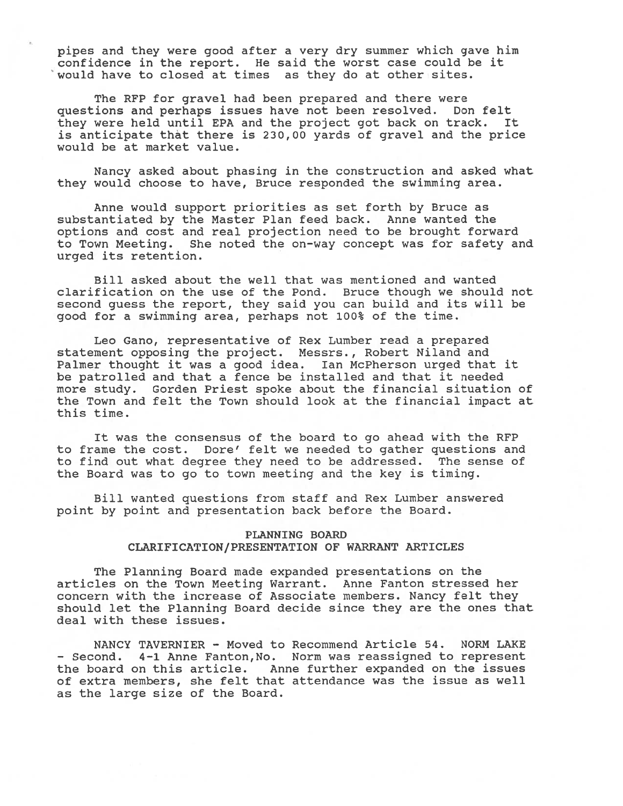pipes and they were good after <sup>a</sup> very dry summer which gave him confidence in the report. He said the worst case could be it would have to closed at times as they do at other sites.

The RFP for gravel had been prepared and there were questions and perhaps issues have not been resolved. Don felt they were held until EPA and the project go<sup>t</sup> back on track. It is anticipate that there is 230,00 yards of gravel and the price would be at market value.

Nancy asked about phasing in the construction and asked what they would choose to have, Bruce responded the swimming area.

Anne would suppor<sup>t</sup> priorities as set forth by Bruce as substantiated by the Master Plan feed back. Anne wanted the options and cost and real projection need to be brought forward to Town Meeting. She noted the on—way concep<sup>t</sup> was for safety and urged its retention.

Bill asked about the well that was mentioned and wanted clarification on the use of the Pond. Bruce though we should not second guess the report, they said you can build and its will be good for <sup>a</sup> swimming area, perhaps not 100% of the time.

Leo Gano, representative of Rex Lumber read <sup>a</sup> prepared statement opposing the project. Messrs., Robert Niland and Palmer thought it was <sup>a</sup> good idea. Ian McPherson urged that it be patrolled and that <sup>a</sup> fence be installed and that it needed more study. Gorden Priest spoke about the financial situation of the Town and felt the Town should look at the financial impact at this time.

It was the consensus of the board to go ahead with the RFP to frame the cost. Dore' felt we needed to gather questions and to find out what degree they need to be addressed. The sense of the Board was to go to town meeting and the key is timing.

Bill wanted questions from staff and Rex Lumber answered point by point and presentation back before the Board.

### PLANNING BOARD CLARIFICATION/PRESENTATION OF WARRANT ARTICLES

The Planning Board made expanded presentations on the articles on the Town Meeting Warrant. Anne Fanton stressed her concern with the increase of Associate members. Nancy felt they should let the Planning Board decide since they are the ones that deal with these issues.

NANCY TAVERNIER - Moved to Recommend Article 54. NORM LAKE — Second. 4—1 Anne Fanton,No. Norm was reassigned to represen<sup>t</sup> the board on this article. Anne further expanded on the issues of extra members, she felt that attendance was the issue as well as the large size of the Board.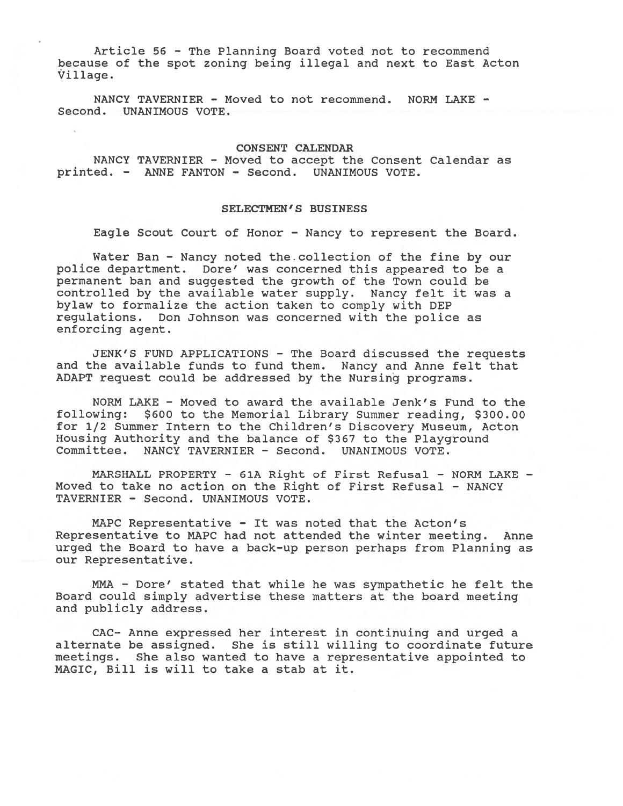Article 56 - The Planning Board voted not to recommend because of the spo<sup>t</sup> zoning being illegal and next to East Acton Village.

NANCY TAVERNIER - Moved to not recommend. NORM LAKE -Second. UNANIMOUS VOTE.

#### CONSENT CALENDAR

NANCY TAVERNIER - Moved to accep<sup>t</sup> the Consent Calendar as printed. - ANNE FANTON - Second. UNANIMOUS VOTE.

# SELECTMEN'S BUSINESS

Eagle Scout Court of Honor - Nancy to represen<sup>t</sup> the Board.

Water Ban - Nancy noted the collection of the fine by our police department. Dore' was concerned this appeared to be <sup>a</sup> permanen<sup>t</sup> ban and suggested the growth of the Town could be controlled by the available water supply. Nancy felt it was <sup>a</sup> bylaw to formalize the action taken to comply with DEP regulations. Don Johnson was concerned with the police as enforcing agent.

JENK'S FUND APPLICATIONS - The Board discussed the requests and the available funds to fund them. Nancy and Anne felt that ADAPT reques<sup>t</sup> could be addressed by the Nursing programs.

NORM LAKE - Moved to award the available Jenk's Fund to the following: \$600 to the Memorial Library Summer reading, \$300.00 for 1/2 Summer Intern to the Children's Discovery Museum, Acton Housing Authority and the balance of \$367 to the Playground Committee. NANCY TAVERNIER - Second. UNANIMOUS VOTE.

MARSHALL PROPERTY - 61A Right of First Refusal - NORM LAKE -Moved to take no action on the Right of First Refusal — NANCY TAVERNIER - Second. UNANIMOUS VOTE.

MAPC Representative - It was noted that the Acton's Representative to MAPC had not attended the winter meeting. Anne urged the Board to have <sup>a</sup> back-up person perhaps from Planning as our Representative.

MMA - Dore' stated that while he was sympathetic he felt the Board could simply advertise these matters at the board meeting and publicly address.

CAC— Anne expressed her interest in continuing and urged <sup>a</sup> alternate be assigned. She is still willing to coordinate future meetings. She also wanted to have <sup>a</sup> representative appointed to MAGIC, Bill is will to take <sup>a</sup> stab at it.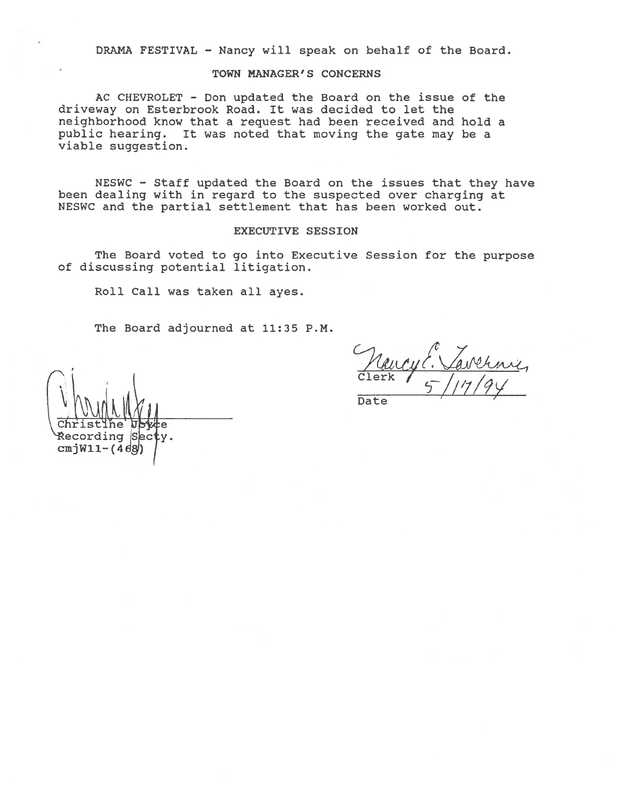DRAMA FESTIVAL — Nancy will speak on behalf of the Board.

### TOWN MANAGER'S CONCERNS

AC CHEVROLET - Don updated the Board on the issue of the driveway on Esterbrook Road. It was decided to let the neighborhood know that <sup>a</sup> reques<sup>t</sup> had been received and hold <sup>a</sup> public hearing. It was noted that moving the gate may be <sup>a</sup> viable suggestion.

NESWC - Staff updated the Board on the issues that they have been dealing with in regard to the suspected over charging at NESWC and the partial settlement that has been worked out.

### EXECUTIVE SESSION

The Board voted to go into Executive Session for the purpose of discussing potential litigation.

Roll Call was taken all ayes.

The Board adjourned at 11:35 P.M.

 $\text{Clerk}$  /  $\frac{1}{2}$  /  $\frac{1}{2}$ Date

\Chrlst ne Recording Secty.  $cm$ jW11- $(40)$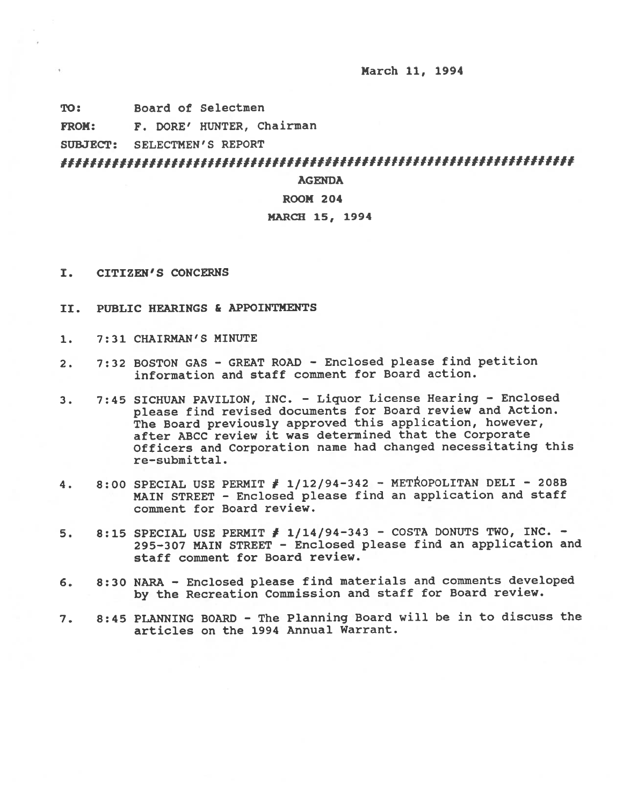March 11, 1994

TO: Board of Selectmen

FROM: F. DORE' HUNTER, Chairman

SUBJECT: SELECTMEN'S REPORT

AGENDA

# ROOM 204

# MARCH 15, 1994

- I. CITIZEN'S CONCERNS
- II. PUBLIC HEARINGS & APPOINTMENTS
- 1. 7:31 CHAIRMAN'S MINUTE
- 2. 7:32 BOSTON GAS GREAT ROAD Enclosed please find petition information and staff comment for Board action.
- 3. 7:45 SICHUAN PAVILION, INC. Liquor License Hearing Enclosed <sup>p</sup>lease find revised documents for Board review and Action. The Board previously approve<sup>d</sup> this application, however, after ABCC review it was determined that the Corporate Officers and Corporation name had changed necessitating this re—submittal.
- 4. 8:00 SPECIAL USE PERMIT #  $1/12/94-342$  METROPOLITAN DELI 208B MAIN STREET - Enclosed <sup>p</sup>lease find an application and staff comment for Board review.
- 5. 8:15 SPECIAL USE PERMIT  $\neq$  1/14/94-343 COSTA DONUTS TWO, INC. -295—307 MAIN STREET - Enclosed <sup>p</sup>lease find an application and staff comment for Board review.
- 6. 8:30 NARA Enclosed <sup>p</sup>lease find materials and comments developed by the Recreation Commission and staff for Board review.
- 7. 8:45 PLANNING BOARD The Planning Board will be in to discuss the articles on the 1994 Annual Warrant.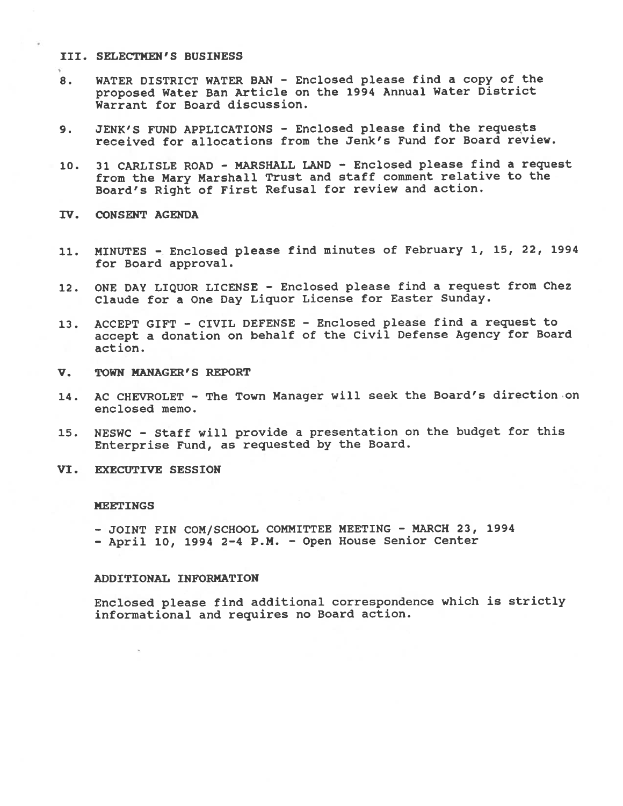### III. SELECTMEN'S BUSINESS

- 8. WATER DISTRICT WATER BAN Enclosed <sup>p</sup>lease find <sup>a</sup> copy of the propose<sup>d</sup> Water Ban Article on the <sup>1994</sup> Annual Water District Warrant for Board discussion.
- 9. JENK'S FUND APPLICATIONS Enclosed please find the requests received for allocations from the Jenk's Fund for Board review.
- 10. 31 CARLISLE ROAD MARSHALL LAND Enclosed please find <sup>a</sup> reques<sup>t</sup> from the Mary Marshall Trust and staff comment relative to the Board's Right of First Refusal for review and action.
- IV. CONSENT AGENDA
- 11. MINUTES Enclosed please find minutes of February 1, 15, 22, 1994 for Board approval.
- 12. ONE DAY LIQUOR LICENSE Enclosed please find a request from Chez Claude for <sup>a</sup> One Day Liquor License for Easter Sunday.
- 13. ACCEPT GIFT CIVIL DEFENSE Enclosed please find <sup>a</sup> reques<sup>t</sup> to accep<sup>t</sup> <sup>a</sup> donation on behalf of the Civil Defense Agency for Board action.
- V. TOWN MANAGER'S REPORT
- 14. AC CHEVROLET The Town Manager will seek the Board's direction on enclosed memo.
- 15. NESWC Staff will provide <sup>a</sup> presentation on the budget for this Enterprise Fund, as requested by the Board.
- VI. EXECUTIVE SESSION

#### **MEETINGS**

- JOINT FIN CON/SCHOOL COMMITTEE MEETING - MARCH 23, 1994

- April 10, <sup>1994</sup> 2-4 P.M. — Open House Senior Center

### ADDITIONAL INFORMATION

Enclosed <sup>p</sup>lease find additional correspondence which is strictly informational and requires no Board action.